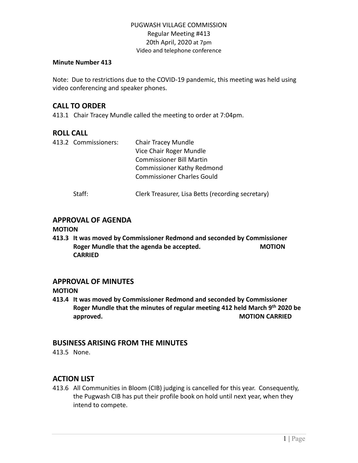#### **Minute Number 413**

Note: Due to restrictions due to the COVID-19 pandemic, this meeting was held using video conferencing and speaker phones.

## **CALL TO ORDER**

413.1 Chair Tracey Mundle called the meeting to order at 7:04pm.

# **ROLL CALL**

| 413.2 Commissioners: | <b>Chair Tracey Mundle</b>                        |
|----------------------|---------------------------------------------------|
|                      | Vice Chair Roger Mundle                           |
|                      | <b>Commissioner Bill Martin</b>                   |
|                      | <b>Commissioner Kathy Redmond</b>                 |
|                      | <b>Commissioner Charles Gould</b>                 |
| Staff:               | Clerk Treasurer, Lisa Betts (recording secretary) |

# **APPROVAL OF AGENDA**

#### **MOTION**

**413.3 It was moved by Commissioner Redmond and seconded by Commissioner Roger Mundle that the agenda be accepted. MOTION CARRIED**

### **APPROVAL OF MINUTES**

#### **MOTION**

**413.4 It was moved by Commissioner Redmond and seconded by Commissioner Roger Mundle that the minutes of regular meeting 412 held March 9 th 2020 be approved. MOTION CARRIED** 

### **BUSINESS ARISING FROM THE MINUTES**

413.5 None.

# **ACTION LIST**

413.6 All Communities in Bloom (CIB) judging is cancelled for this year. Consequently, the Pugwash CIB has put their profile book on hold until next year, when they intend to compete.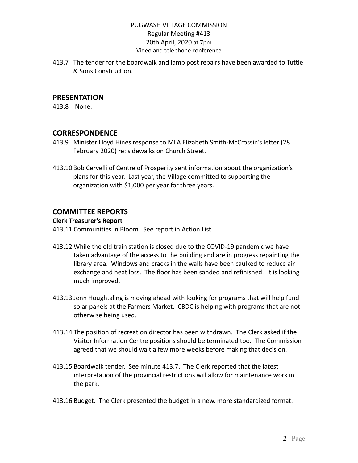413.7 The tender for the boardwalk and lamp post repairs have been awarded to Tuttle & Sons Construction.

## **PRESENTATION**

413.8 None.

# **CORRESPONDENCE**

- 413.9 Minister Lloyd Hines response to MLA Elizabeth Smith-McCrossin's letter (28 February 2020) re: sidewalks on Church Street.
- 413.10 Bob Cervelli of Centre of Prosperity sent information about the organization's plans for this year. Last year, the Village committed to supporting the organization with \$1,000 per year for three years.

# **COMMITTEE REPORTS**

#### **Clerk Treasurer's Report**

413.11 Communities in Bloom. See report in Action List

- 413.12 While the old train station is closed due to the COVID-19 pandemic we have taken advantage of the access to the building and are in progress repainting the library area. Windows and cracks in the walls have been caulked to reduce air exchange and heat loss. The floor has been sanded and refinished. It is looking much improved.
- 413.13 Jenn Houghtaling is moving ahead with looking for programs that will help fund solar panels at the Farmers Market. CBDC is helping with programs that are not otherwise being used.
- 413.14 The position of recreation director has been withdrawn. The Clerk asked if the Visitor Information Centre positions should be terminated too. The Commission agreed that we should wait a few more weeks before making that decision.
- 413.15 Boardwalk tender. See minute 413.7. The Clerk reported that the latest interpretation of the provincial restrictions will allow for maintenance work in the park.
- 413.16 Budget. The Clerk presented the budget in a new, more standardized format.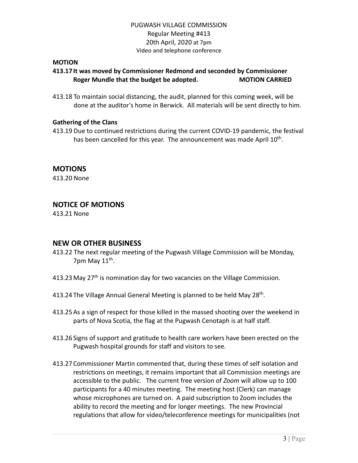#### **MOTION**

# **413.17 It was moved by Commissioner Redmond and seconded by Commissioner Roger Mundle that the budget be adopted. MOTION CARRIED**

413.18 To maintain social distancing, the audit, planned for this coming week, will be done at the auditor's home in Berwick. All materials will be sent directly to him.

#### **Gathering of the Clans**

413.19 Due to continued restrictions during the current COVID-19 pandemic, the festival has been cancelled for this year. The announcement was made April 10<sup>th</sup>.

# **MOTIONS**

413.20 None

# **NOTICE OF MOTIONS**

413.21 None

### **NEW OR OTHER BUSINESS**

- 413.22 The next regular meeting of the Pugwash Village Commission will be Monday, 7pm May 11<sup>th</sup>.
- 413.23 May 27<sup>th</sup> is nomination day for two vacancies on the Village Commission.
- 413.24 The Village Annual General Meeting is planned to be held May 28<sup>th</sup>.
- 413.25As a sign of respect for those killed in the massed shooting over the weekend in parts of Nova Scotia, the flag at the Pugwash Cenotaph is at half staff.
- 413.26 Signs of support and gratitude to health care workers have been erected on the Pugwash hospital grounds for staff and visitors to see.
- 413.27 Commissioner Martin commented that, during these times of self isolation and restrictions on meetings, it remains important that all Commission meetings are accessible to the public. The current free version of *Zoom* will allow up to 100 participants for a 40 minutes meeting. The meeting host (Clerk) can manage whose microphones are turned on. A paid subscription to Zoom includes the ability to record the meeting and for longer meetings. The new Provincial regulations that allow for video/teleconference meetings for municipalities (not